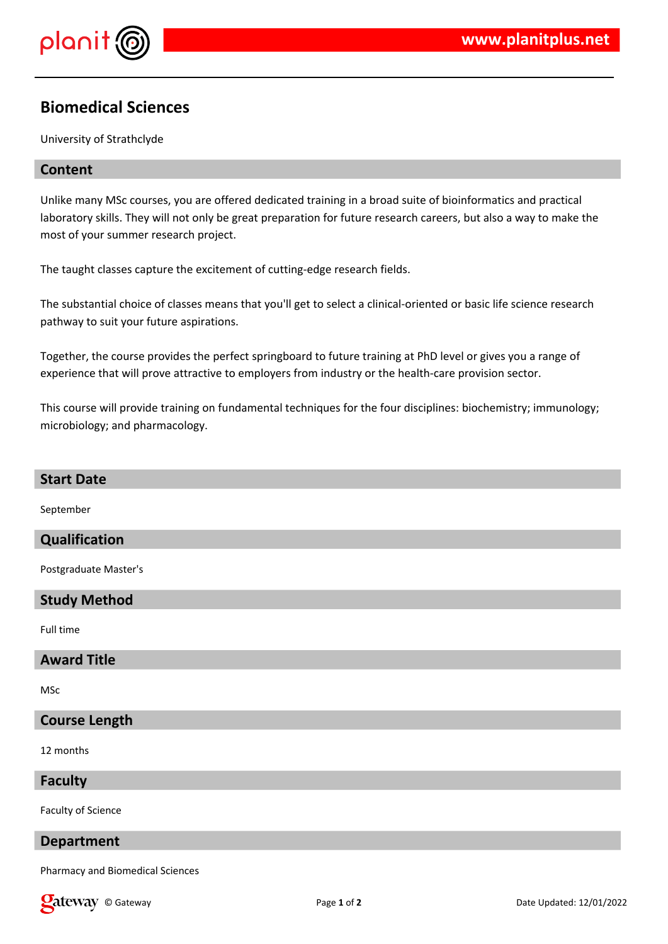

# **Biomedical Sciences**

University of Strathclyde

## **Content**

Unlike many MSc courses, you are offered dedicated training in a broad suite of bioinformatics and practical laboratory skills. They will not only be great preparation for future research careers, but also a way to make the most of your summer research project.

The taught classes capture the excitement of cutting-edge research fields.

The substantial choice of classes means that you'll get to select a clinical-oriented or basic life science research pathway to suit your future aspirations.

Together, the course provides the perfect springboard to future training at PhD level or gives you a range of experience that will prove attractive to employers from industry or the health-care provision sector.

This course will provide training on fundamental techniques for the four disciplines: biochemistry; immunology; microbiology; and pharmacology.

| <b>Start Date</b>                |
|----------------------------------|
| September                        |
| Qualification                    |
| Postgraduate Master's            |
| <b>Study Method</b>              |
| Full time                        |
| <b>Award Title</b>               |
| <b>MSc</b>                       |
| <b>Course Length</b>             |
| 12 months                        |
| <b>Faculty</b>                   |
| <b>Faculty of Science</b>        |
| <b>Department</b>                |
| Pharmacy and Biomedical Sciences |